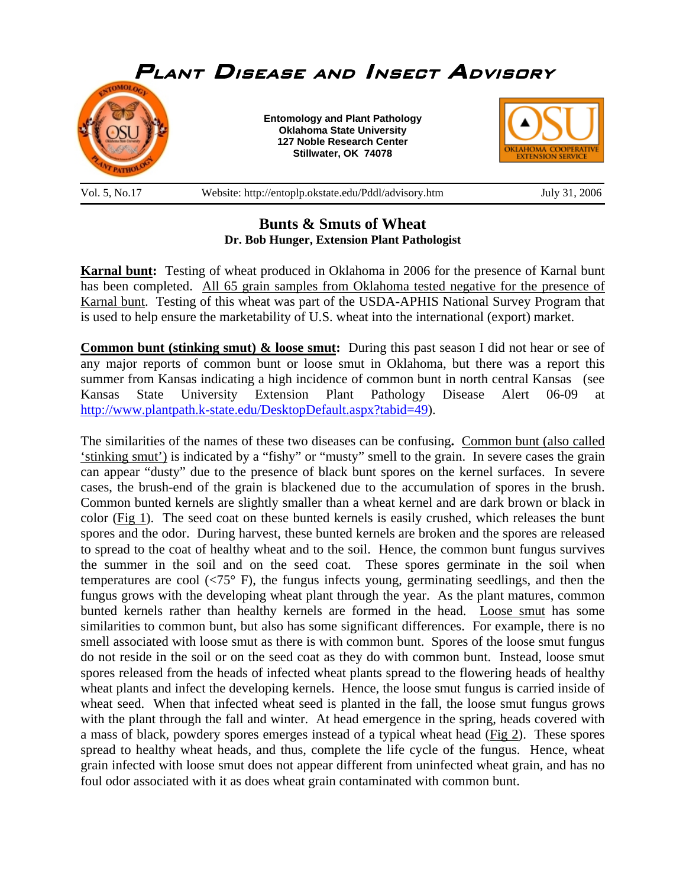

## **Bunts & Smuts of Wheat Dr. Bob Hunger, Extension Plant Pathologist**

**Karnal bunt:** Testing of wheat produced in Oklahoma in 2006 for the presence of Karnal bunt has been completed. All 65 grain samples from Oklahoma tested negative for the presence of Karnal bunt. Testing of this wheat was part of the USDA-APHIS National Survey Program that is used to help ensure the marketability of U.S. wheat into the international (export) market.

**Common bunt (stinking smut) & loose smut:** During this past season I did not hear or see of any major reports of common bunt or loose smut in Oklahoma, but there was a report this summer from Kansas indicating a high incidence of common bunt in north central Kansas (see Kansas State University Extension Plant Pathology Disease Alert 06-09 at http://www.plantpath.k-state.edu/DesktopDefault.aspx?tabid=49).

The similarities of the names of these two diseases can be confusing**.** Common bunt (also called 'stinking smut') is indicated by a "fishy" or "musty" smell to the grain. In severe cases the grain can appear "dusty" due to the presence of black bunt spores on the kernel surfaces. In severe cases, the brush-end of the grain is blackened due to the accumulation of spores in the brush. Common bunted kernels are slightly smaller than a wheat kernel and are dark brown or black in color (Fig 1). The seed coat on these bunted kernels is easily crushed, which releases the bunt spores and the odor. During harvest, these bunted kernels are broken and the spores are released to spread to the coat of healthy wheat and to the soil. Hence, the common bunt fungus survives the summer in the soil and on the seed coat. These spores germinate in the soil when temperatures are cool  $\langle 75^{\circ}$  F), the fungus infects young, germinating seedlings, and then the fungus grows with the developing wheat plant through the year. As the plant matures, common bunted kernels rather than healthy kernels are formed in the head. Loose smut has some similarities to common bunt, but also has some significant differences. For example, there is no smell associated with loose smut as there is with common bunt. Spores of the loose smut fungus do not reside in the soil or on the seed coat as they do with common bunt. Instead, loose smut spores released from the heads of infected wheat plants spread to the flowering heads of healthy wheat plants and infect the developing kernels. Hence, the loose smut fungus is carried inside of wheat seed. When that infected wheat seed is planted in the fall, the loose smut fungus grows with the plant through the fall and winter. At head emergence in the spring, heads covered with a mass of black, powdery spores emerges instead of a typical wheat head (Fig 2). These spores spread to healthy wheat heads, and thus, complete the life cycle of the fungus. Hence, wheat grain infected with loose smut does not appear different from uninfected wheat grain, and has no foul odor associated with it as does wheat grain contaminated with common bunt.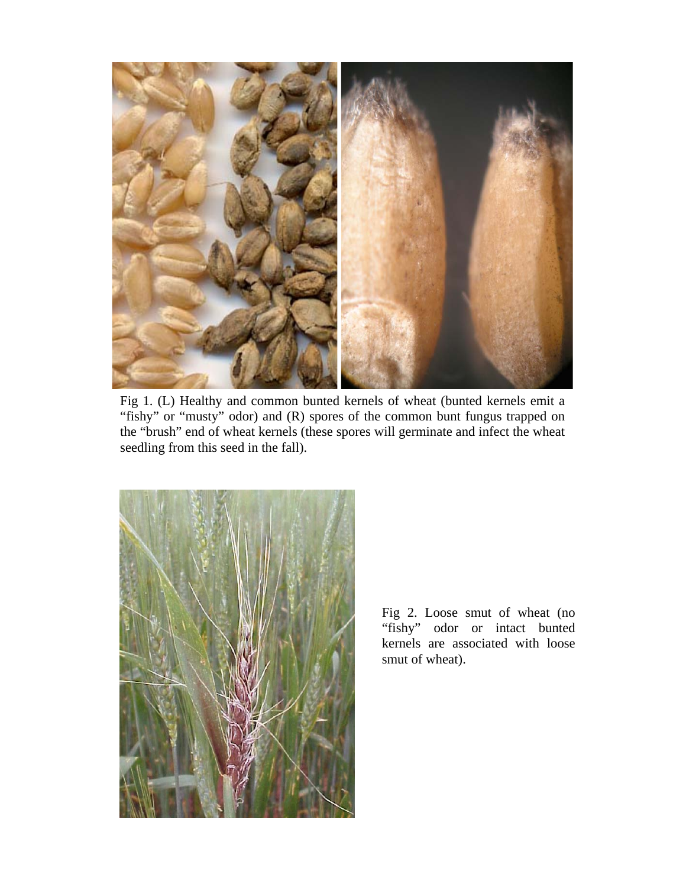

Fig 1. (L) Healthy and common bunted kernels of wheat (bunted kernels emit a "fishy" or "musty" odor) and (R) spores of the common bunt fungus trapped on the "brush" end of wheat kernels (these spores will germinate and infect the wheat seedling from this seed in the fall).



Fig 2. Loose smut of wheat (no "fishy" odor or intact bunted kernels are associated with loose smut of wheat).